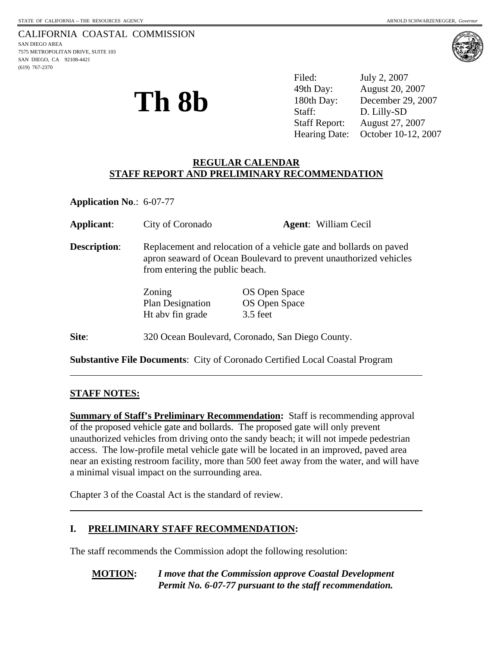#### CALIFORNIA COASTAL COMMISSION SAN DIEGO AREA

7575 METROPOLITAN DRIVE, SUITE 103 SAN DIEGO, CA 92108-4421 (619) 767-2370



**Th 8b** 

Filed: **July 2, 2007** 49th Day: August 20, 2007 180th Day: December 29, 2007 Staff: D. Lilly-SD Staff Report: August 27, 2007 Hearing Date: October 10-12, 2007

### **REGULAR CALENDAR STAFF REPORT AND PRELIMINARY RECOMMENDATION**

**Application No**.: 6-07-77

| Applicant:          | City of Coronado                                                                                                                                                           | <b>Agent:</b> William Cecil                  |
|---------------------|----------------------------------------------------------------------------------------------------------------------------------------------------------------------------|----------------------------------------------|
| <b>Description:</b> | Replacement and relocation of a vehicle gate and bollards on paved<br>apron seaward of Ocean Boulevard to prevent unauthorized vehicles<br>from entering the public beach. |                                              |
|                     | Zoning<br><b>Plan Designation</b><br>Ht aby fin grade                                                                                                                      | OS Open Space<br>OS Open Space<br>$3.5$ feet |
| Site:               | 320 Ocean Boulevard, Coronado, San Diego County.                                                                                                                           |                                              |

**Substantive File Documents**: City of Coronado Certified Local Coastal Program

# **STAFF NOTES:**

 $\overline{a}$ 

 $\overline{a}$ 

**Summary of Staff's Preliminary Recommendation:** Staff is recommending approval of the proposed vehicle gate and bollards. The proposed gate will only prevent unauthorized vehicles from driving onto the sandy beach; it will not impede pedestrian access. The low-profile metal vehicle gate will be located in an improved, paved area near an existing restroom facility, more than 500 feet away from the water, and will have a minimal visual impact on the surrounding area.

Chapter 3 of the Coastal Act is the standard of review.

# **I. PRELIMINARY STAFF RECOMMENDATION:**

The staff recommends the Commission adopt the following resolution:

**MOTION:** *I move that the Commission approve Coastal Development Permit No. 6-07-77 pursuant to the staff recommendation.*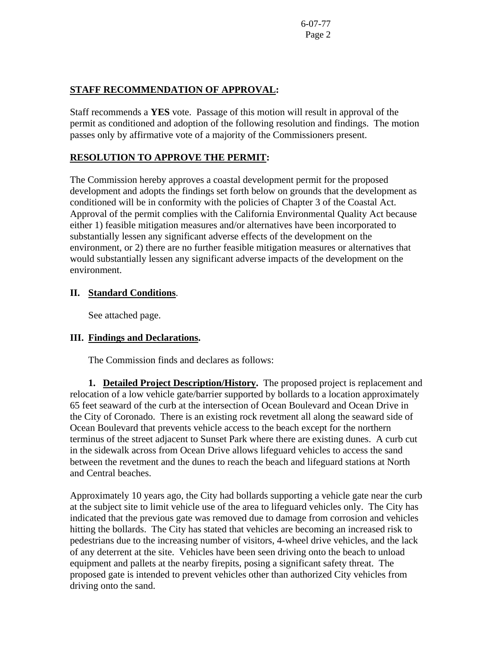# **STAFF RECOMMENDATION OF APPROVAL:**

Staff recommends a **YES** vote. Passage of this motion will result in approval of the permit as conditioned and adoption of the following resolution and findings. The motion passes only by affirmative vote of a majority of the Commissioners present.

# **RESOLUTION TO APPROVE THE PERMIT:**

The Commission hereby approves a coastal development permit for the proposed development and adopts the findings set forth below on grounds that the development as conditioned will be in conformity with the policies of Chapter 3 of the Coastal Act. Approval of the permit complies with the California Environmental Quality Act because either 1) feasible mitigation measures and/or alternatives have been incorporated to substantially lessen any significant adverse effects of the development on the environment, or 2) there are no further feasible mitigation measures or alternatives that would substantially lessen any significant adverse impacts of the development on the environment.

# **II. Standard Conditions**.

See attached page.

### **III. Findings and Declarations.**

The Commission finds and declares as follows:

 **1. Detailed Project Description/History.** The proposed project is replacement and relocation of a low vehicle gate/barrier supported by bollards to a location approximately 65 feet seaward of the curb at the intersection of Ocean Boulevard and Ocean Drive in the City of Coronado. There is an existing rock revetment all along the seaward side of Ocean Boulevard that prevents vehicle access to the beach except for the northern terminus of the street adjacent to Sunset Park where there are existing dunes. A curb cut in the sidewalk across from Ocean Drive allows lifeguard vehicles to access the sand between the revetment and the dunes to reach the beach and lifeguard stations at North and Central beaches.

Approximately 10 years ago, the City had bollards supporting a vehicle gate near the curb at the subject site to limit vehicle use of the area to lifeguard vehicles only. The City has indicated that the previous gate was removed due to damage from corrosion and vehicles hitting the bollards. The City has stated that vehicles are becoming an increased risk to pedestrians due to the increasing number of visitors, 4-wheel drive vehicles, and the lack of any deterrent at the site. Vehicles have been seen driving onto the beach to unload equipment and pallets at the nearby firepits, posing a significant safety threat. The proposed gate is intended to prevent vehicles other than authorized City vehicles from driving onto the sand.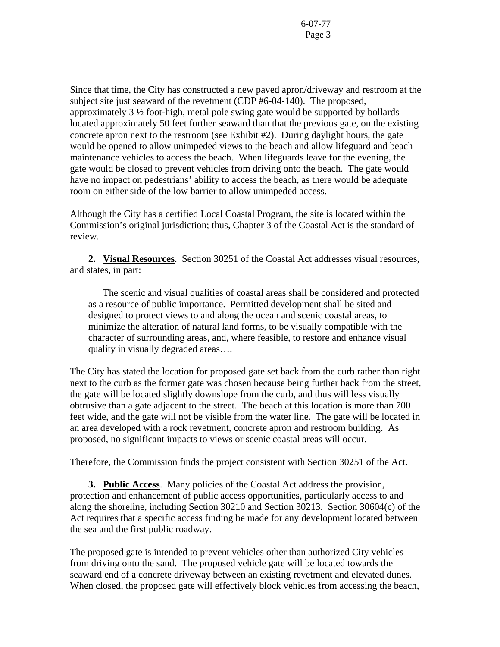Since that time, the City has constructed a new paved apron/driveway and restroom at the subject site just seaward of the revetment (CDP #6-04-140). The proposed, approximately 3 ½ foot-high, metal pole swing gate would be supported by bollards located approximately 50 feet further seaward than that the previous gate, on the existing concrete apron next to the restroom (see Exhibit #2). During daylight hours, the gate would be opened to allow unimpeded views to the beach and allow lifeguard and beach maintenance vehicles to access the beach. When lifeguards leave for the evening, the gate would be closed to prevent vehicles from driving onto the beach. The gate would have no impact on pedestrians' ability to access the beach, as there would be adequate room on either side of the low barrier to allow unimpeded access.

Although the City has a certified Local Coastal Program, the site is located within the Commission's original jurisdiction; thus, Chapter 3 of the Coastal Act is the standard of review.

**2. Visual Resources**. Section 30251 of the Coastal Act addresses visual resources, and states, in part:

 The scenic and visual qualities of coastal areas shall be considered and protected as a resource of public importance. Permitted development shall be sited and designed to protect views to and along the ocean and scenic coastal areas, to minimize the alteration of natural land forms, to be visually compatible with the character of surrounding areas, and, where feasible, to restore and enhance visual quality in visually degraded areas….

The City has stated the location for proposed gate set back from the curb rather than right next to the curb as the former gate was chosen because being further back from the street, the gate will be located slightly downslope from the curb, and thus will less visually obtrusive than a gate adjacent to the street. The beach at this location is more than 700 feet wide, and the gate will not be visible from the water line. The gate will be located in an area developed with a rock revetment, concrete apron and restroom building. As proposed, no significant impacts to views or scenic coastal areas will occur.

Therefore, the Commission finds the project consistent with Section 30251 of the Act.

**3. Public Access**. Many policies of the Coastal Act address the provision, protection and enhancement of public access opportunities, particularly access to and along the shoreline, including Section 30210 and Section 30213. Section 30604(c) of the Act requires that a specific access finding be made for any development located between the sea and the first public roadway.

The proposed gate is intended to prevent vehicles other than authorized City vehicles from driving onto the sand. The proposed vehicle gate will be located towards the seaward end of a concrete driveway between an existing revetment and elevated dunes. When closed, the proposed gate will effectively block vehicles from accessing the beach,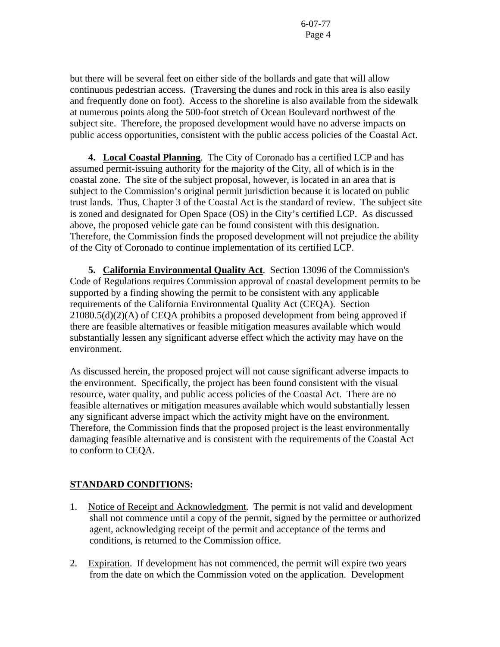but there will be several feet on either side of the bollards and gate that will allow continuous pedestrian access. (Traversing the dunes and rock in this area is also easily and frequently done on foot). Access to the shoreline is also available from the sidewalk at numerous points along the 500-foot stretch of Ocean Boulevard northwest of the subject site. Therefore, the proposed development would have no adverse impacts on public access opportunities, consistent with the public access policies of the Coastal Act.

**4. Local Coastal Planning**. The City of Coronado has a certified LCP and has assumed permit-issuing authority for the majority of the City, all of which is in the coastal zone. The site of the subject proposal, however, is located in an area that is subject to the Commission's original permit jurisdiction because it is located on public trust lands. Thus, Chapter 3 of the Coastal Act is the standard of review. The subject site is zoned and designated for Open Space (OS) in the City's certified LCP. As discussed above, the proposed vehicle gate can be found consistent with this designation. Therefore, the Commission finds the proposed development will not prejudice the ability of the City of Coronado to continue implementation of its certified LCP.

 **5. California Environmental Quality Act**. Section 13096 of the Commission's Code of Regulations requires Commission approval of coastal development permits to be supported by a finding showing the permit to be consistent with any applicable requirements of the California Environmental Quality Act (CEQA). Section 21080.5(d)(2)(A) of CEQA prohibits a proposed development from being approved if there are feasible alternatives or feasible mitigation measures available which would substantially lessen any significant adverse effect which the activity may have on the environment.

As discussed herein, the proposed project will not cause significant adverse impacts to the environment. Specifically, the project has been found consistent with the visual resource, water quality, and public access policies of the Coastal Act. There are no feasible alternatives or mitigation measures available which would substantially lessen any significant adverse impact which the activity might have on the environment. Therefore, the Commission finds that the proposed project is the least environmentally damaging feasible alternative and is consistent with the requirements of the Coastal Act to conform to CEQA.

### **STANDARD CONDITIONS:**

- 1. Notice of Receipt and Acknowledgment. The permit is not valid and development shall not commence until a copy of the permit, signed by the permittee or authorized agent, acknowledging receipt of the permit and acceptance of the terms and conditions, is returned to the Commission office.
- 2. Expiration. If development has not commenced, the permit will expire two years from the date on which the Commission voted on the application. Development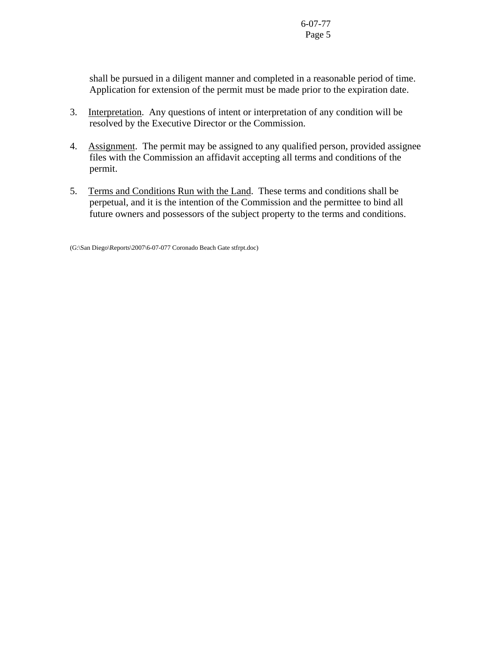shall be pursued in a diligent manner and completed in a reasonable period of time. Application for extension of the permit must be made prior to the expiration date.

- 3. Interpretation. Any questions of intent or interpretation of any condition will be resolved by the Executive Director or the Commission.
- 4. Assignment. The permit may be assigned to any qualified person, provided assignee files with the Commission an affidavit accepting all terms and conditions of the permit.
- 5. Terms and Conditions Run with the Land. These terms and conditions shall be perpetual, and it is the intention of the Commission and the permittee to bind all future owners and possessors of the subject property to the terms and conditions.

(G:\San Diego\Reports\2007\6-07-077 Coronado Beach Gate stfrpt.doc)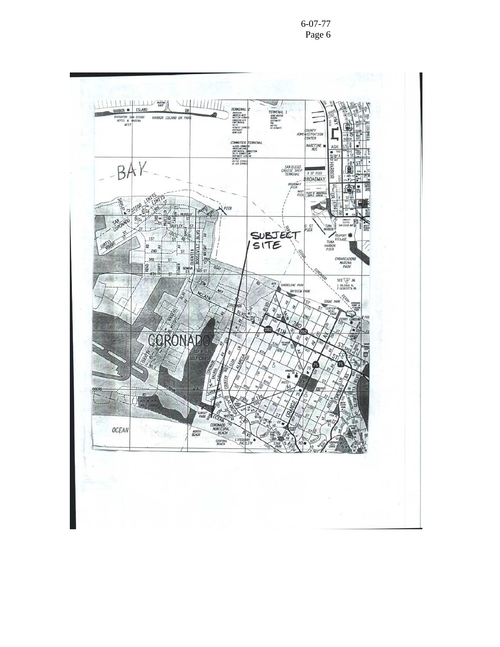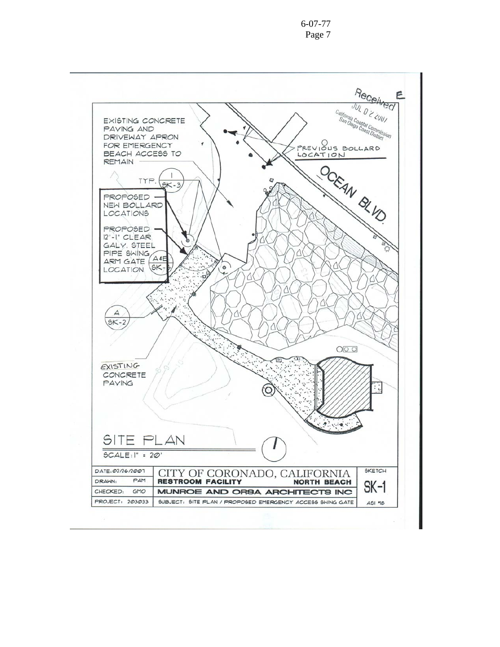